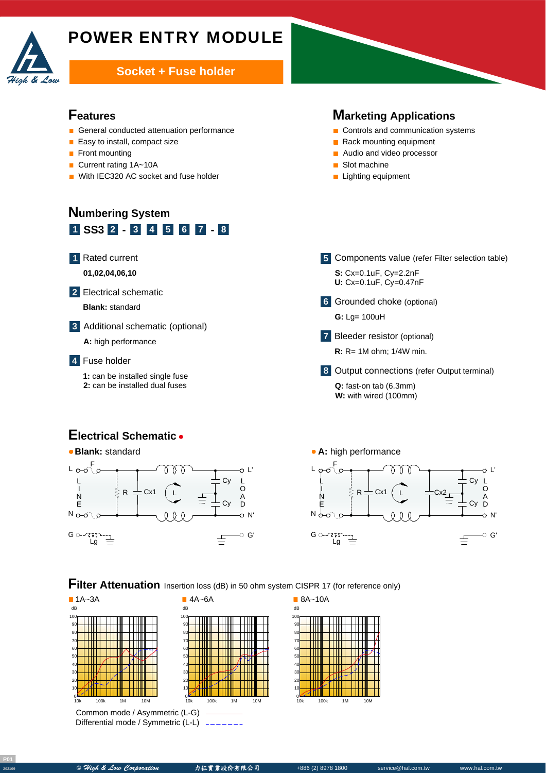

# POWER ENTRY MODULE

#### **Socket + Fuse holder**

#### **Features**

- General conducted attenuation performance
- $\blacksquare$  Easy to install, compact size
- **Front mounting**
- Current rating 1A~10A
- With IEC320 AC socket and fuse holder

# **Numbering System 1 SS3 - - 2 3 4 5 6 7 8**

Rated current **1**

**01,02,04,06,10**

Electrical schematic **2**

A **Blank:** standard

Additional schematic (optional) **3**

**A:** high performance

Fuse holder **4**

**1:** can be installed single fuse **2:** can be installed dual fuses

#### **Marketing Applications**

- Controls and communication systems
- Rack mounting equipment
- **Audio and video processor**
- Slot machine
- **Lighting equipment**
- Components value (refer Filter selection table) **5 S:** Cx=0.1uF, Cy=2.2nF **U:** Cx=0.1uF, Cy=0.47nF Grounded choke (optional) **6** A **G:** Lg= 100uH Bleeder resistor (optional) **7 R:** R= 1M ohm; 1/4W min. Output connections (refer Output terminal) **8** Q: fast-on tab (6.3mm)
	- **W:** with wired (100mm)

#### **Electrical Schematic**



100



**Filter Attenuation** Insertion loss (dB) in 50 ohm system CISPR 17 (for reference only)



Common mode / Asymmetric (L-G) Differential mode / Symmetric (L-L)



10k 100k 1M 10M